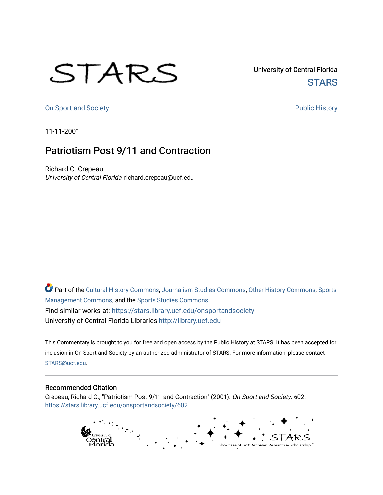## STARS

University of Central Florida **STARS** 

[On Sport and Society](https://stars.library.ucf.edu/onsportandsociety) **Public History** Public History

11-11-2001

## Patriotism Post 9/11 and Contraction

Richard C. Crepeau University of Central Florida, richard.crepeau@ucf.edu

Part of the [Cultural History Commons](http://network.bepress.com/hgg/discipline/496?utm_source=stars.library.ucf.edu%2Fonsportandsociety%2F602&utm_medium=PDF&utm_campaign=PDFCoverPages), [Journalism Studies Commons,](http://network.bepress.com/hgg/discipline/333?utm_source=stars.library.ucf.edu%2Fonsportandsociety%2F602&utm_medium=PDF&utm_campaign=PDFCoverPages) [Other History Commons,](http://network.bepress.com/hgg/discipline/508?utm_source=stars.library.ucf.edu%2Fonsportandsociety%2F602&utm_medium=PDF&utm_campaign=PDFCoverPages) [Sports](http://network.bepress.com/hgg/discipline/1193?utm_source=stars.library.ucf.edu%2Fonsportandsociety%2F602&utm_medium=PDF&utm_campaign=PDFCoverPages) [Management Commons](http://network.bepress.com/hgg/discipline/1193?utm_source=stars.library.ucf.edu%2Fonsportandsociety%2F602&utm_medium=PDF&utm_campaign=PDFCoverPages), and the [Sports Studies Commons](http://network.bepress.com/hgg/discipline/1198?utm_source=stars.library.ucf.edu%2Fonsportandsociety%2F602&utm_medium=PDF&utm_campaign=PDFCoverPages) Find similar works at: <https://stars.library.ucf.edu/onsportandsociety> University of Central Florida Libraries [http://library.ucf.edu](http://library.ucf.edu/) 

This Commentary is brought to you for free and open access by the Public History at STARS. It has been accepted for inclusion in On Sport and Society by an authorized administrator of STARS. For more information, please contact [STARS@ucf.edu](mailto:STARS@ucf.edu).

## Recommended Citation

Crepeau, Richard C., "Patriotism Post 9/11 and Contraction" (2001). On Sport and Society. 602. [https://stars.library.ucf.edu/onsportandsociety/602](https://stars.library.ucf.edu/onsportandsociety/602?utm_source=stars.library.ucf.edu%2Fonsportandsociety%2F602&utm_medium=PDF&utm_campaign=PDFCoverPages)

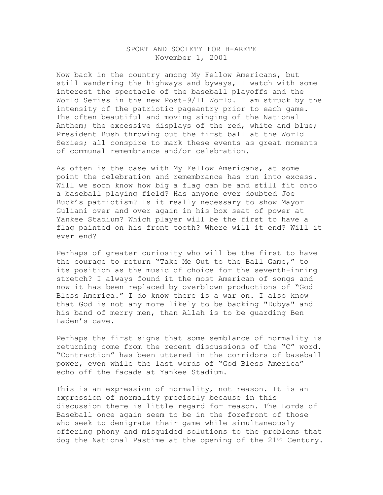## SPORT AND SOCIETY FOR H-ARETE November 1, 2001

Now back in the country among My Fellow Americans, but still wandering the highways and byways, I watch with some interest the spectacle of the baseball playoffs and the World Series in the new Post-9/11 World. I am struck by the intensity of the patriotic pageantry prior to each game. The often beautiful and moving singing of the National Anthem; the excessive displays of the red, white and blue; President Bush throwing out the first ball at the World Series; all conspire to mark these events as great moments of communal remembrance and/or celebration.

As often is the case with My Fellow Americans, at some point the celebration and remembrance has run into excess. Will we soon know how big a flag can be and still fit onto a baseball playing field? Has anyone ever doubted Joe Buck's patriotism? Is it really necessary to show Mayor Guliani over and over again in his box seat of power at Yankee Stadium? Which player will be the first to have a flag painted on his front tooth? Where will it end? Will it ever end?

Perhaps of greater curiosity who will be the first to have the courage to return "Take Me Out to the Ball Game," to its position as the music of choice for the seventh-inning stretch? I always found it the most American of songs and now it has been replaced by overblown productions of "God Bless America." I do know there is a war on. I also know that God is not any more likely to be backing "Dubya" and his band of merry men, than Allah is to be guarding Ben Laden's cave.

Perhaps the first signs that some semblance of normality is returning come from the recent discussions of the "C" word. "Contraction" has been uttered in the corridors of baseball power, even while the last words of "God Bless America" echo off the facade at Yankee Stadium.

This is an expression of normality, not reason. It is an expression of normality precisely because in this discussion there is little regard for reason. The Lords of Baseball once again seem to be in the forefront of those who seek to denigrate their game while simultaneously offering phony and misguided solutions to the problems that dog the National Pastime at the opening of the 21st Century.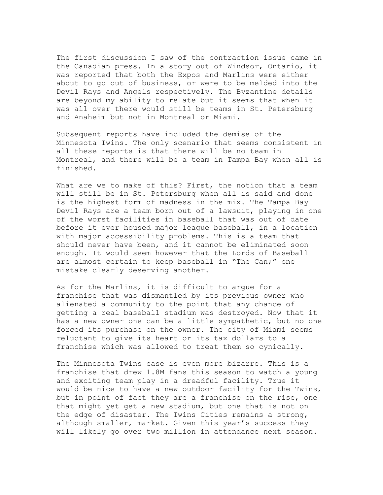The first discussion I saw of the contraction issue came in the Canadian press. In a story out of Windsor, Ontario, it was reported that both the Expos and Marlins were either about to go out of business, or were to be melded into the Devil Rays and Angels respectively. The Byzantine details are beyond my ability to relate but it seems that when it was all over there would still be teams in St. Petersburg and Anaheim but not in Montreal or Miami.

Subsequent reports have included the demise of the Minnesota Twins. The only scenario that seems consistent in all these reports is that there will be no team in Montreal, and there will be a team in Tampa Bay when all is finished.

What are we to make of this? First, the notion that a team will still be in St. Petersburg when all is said and done is the highest form of madness in the mix. The Tampa Bay Devil Rays are a team born out of a lawsuit, playing in one of the worst facilities in baseball that was out of date before it ever housed major league baseball, in a location with major accessibility problems. This is a team that should never have been, and it cannot be eliminated soon enough. It would seem however that the Lords of Baseball are almost certain to keep baseball in "The Can;" one mistake clearly deserving another.

As for the Marlins, it is difficult to argue for a franchise that was dismantled by its previous owner who alienated a community to the point that any chance of getting a real baseball stadium was destroyed. Now that it has a new owner one can be a little sympathetic, but no one forced its purchase on the owner. The city of Miami seems reluctant to give its heart or its tax dollars to a franchise which was allowed to treat them so cynically.

The Minnesota Twins case is even more bizarre. This is a franchise that drew 1.8M fans this season to watch a young and exciting team play in a dreadful facility. True it would be nice to have a new outdoor facility for the Twins, but in point of fact they are a franchise on the rise, one that might yet get a new stadium, but one that is not on the edge of disaster. The Twins Cities remains a strong, although smaller, market. Given this year's success they will likely go over two million in attendance next season.